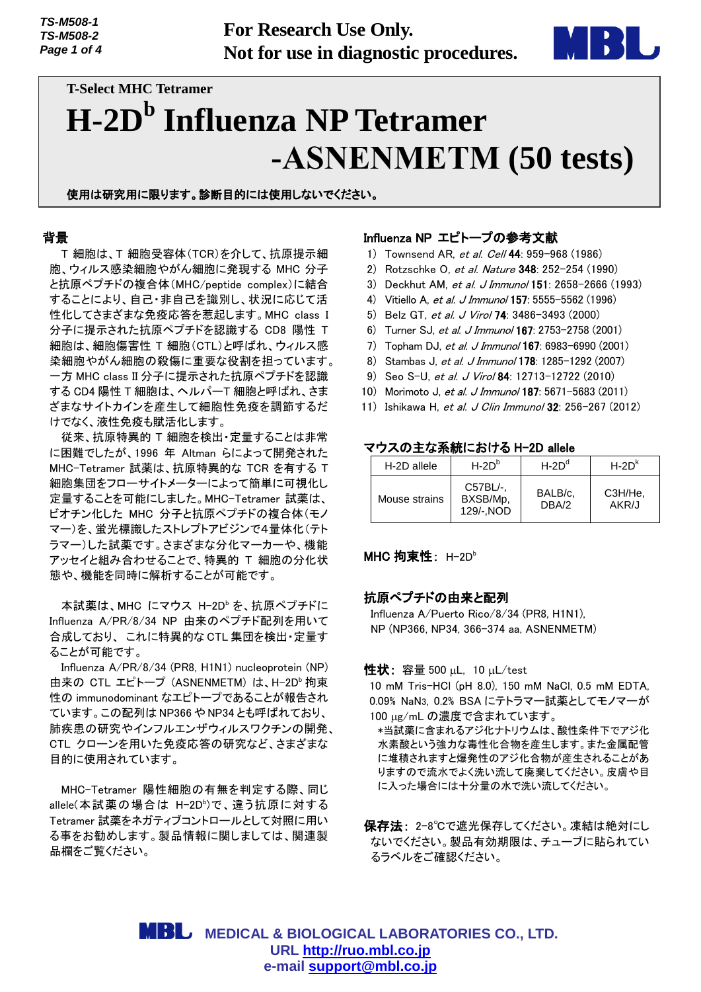**For Research Use Only. Not for use in diagnostic procedures.**



# **T-Select MHC Tetramer H-2D<sup>b</sup> Influenza NP Tetramer -ASNENMETM (50 tests)**

使用は研究用に限ります。診断目的には使用しないでください。

## 背景

T 細胞は、T 細胞受容体(TCR)を介して、抗原提示細 胞、ウィルス感染細胞やがん細胞に発現する MHC 分子 と抗原ペプチドの複合体(MHC/peptide complex)に結合 することにより、自己・非自己を識別し、状況に応じて活 性化してさまざまな免疫応答を惹起します。MHC class I 分子に提示された抗原ペプチドを認識する CD8 陽性 T 細胞は、細胞傷害性 T 細胞(CTL)と呼ばれ、ウィルス感 染細胞やがん細胞の殺傷に重要な役割を担っています。 一方 MHC class II 分子に提示された抗原ペプチドを認識 する CD4 陽性 T 細胞は、ヘルパーT 細胞と呼ばれ、さま ざまなサイトカインを産生して細胞性免疫を調節するだ けでなく、液性免疫も賦活化します。

従来、抗原特異的 T 細胞を検出・定量することは非常 に困難でしたが、1996 年 Altman らによって開発された MHC-Tetramer 試薬は、抗原特異的な TCR を有する T 細胞集団をフローサイトメーターによって簡単に可視化し 定量することを可能にしました。MHC-Tetramer 試薬は、 ビオチン化した MHC 分子と抗原ペプチドの複合体(モノ マー)を、蛍光標識したストレプトアビジンで4量体化(テト ラマー)した試薬です。さまざまな分化マーカーや、機能 アッセイと組み合わせることで、特異的 T 細胞の分化状 態や、機能を同時に解析することが可能です。

本試薬は、MHC にマウス H-2D<sup>b</sup> を、抗原ペプチドに Influenza A/PR/8/34 NP 由来のペプチド配列を用いて 合成しており、 これに特異的な CTL 集団を検出・定量す ることが可能です。

Influenza A/PR/8/34 (PR8, H1N1) nucleoprotein (NP) 由来の CTL エピトープ (ASNENMETM) は、H-2D<sup>b</sup> 拘束 性の immunodominant なエピトープであることが報告され ています。この配列は NP366 や NP34 とも呼ばれており、 肺疾患の研究やインフルエンザウィルスワクチンの開発、 CTL クローンを用いた免疫応答の研究など、さまざまな 目的に使用されています。

MHC-Tetramer 陽性細胞の有無を判定する際、同じ allele(本試薬の場合は H-2D<sup>b</sup>)で、違う抗原に対する Tetramer 試薬をネガティブコントロールとして対照に用い る事をお勧めします。製品情報に関しましては、関連製 品欄をご覧ください。

## Influenza NP エピトープの参考文献

- 1) Townsend AR, et al. Cell 44: 959-968 (1986)
- 2) Rotzschke O, et al. Nature 348: 252-254 (1990)
- 3) Deckhut AM, et al. <sup>J</sup> Immunol 151: 2658-2666 (1993)
- 4) Vitiello A, et al. J Immunol 157: 5555-5562 (1996)
- 5) Belz GT, et al. J Virol 74: 3486–3493 (2000)
- 6) Turner SJ, et al. J Immunol 167: 2753-2758 (2001)
- 7) Topham DJ, et al. J Immunol 167: 6983-6990 (2001)
- 8) Stambas J, et al. J Immunol 178: 1285-1292 (2007)
- 9) Seo S-U, et al. J Virol 84: 12713-12722 (2010)
- 10) Morimoto J, et al. J Immunol 187: 5671-5683 (2011)
- 11) Ishikawa H, et al. J Clin Immunol 32: 256-267 (2012)

## マウスの主な系統における H-2D allele

| H-2D allele   | $H-2Db$                           | $H - 2Dd$        | $H - 2Dk$        |
|---------------|-----------------------------------|------------------|------------------|
| Mouse strains | C57BL/-.<br>BXSB/Mp.<br>129/-.NOD | BALB/c.<br>DBA/2 | C3H/He.<br>AKR/J |

#### **MHC 拘束性**: H-2Db

#### 抗原ペプチドの由来と配列

Influenza A/Puerto Rico/8/34 (PR8, H1N1), NP (NP366, NP34, 366-374 aa, ASNENMETM)

## 性状: 容量 500  $\mu$ L, 10  $\mu$ L/test

10 mM Tris-HCl (pH 8.0), 150 mM NaCl, 0.5 mM EDTA, 0.09% NaN3, 0.2% BSA にテトラマー試薬としてモノマーが 100 µg/mL の濃度で含まれています。

 \*当試薬に含まれるアジ化ナトリウムは、酸性条件下でアジ化 水素酸という強力な毒性化合物を産生します。また金属配管 に堆積されますと爆発性のアジ化合物が産生されることがあ りますので流水でよく洗い流して廃棄してください。皮膚や目 に入った場合には十分量の水で洗い流してください。

保存法: 2-8℃で遮光保存してください。凍結は絶対にし ないでください。製品有効期限は、チューブに貼られてい るラベルをご確認ください。

 **MEDICAL & BIOLOGICAL LABORATORIES CO., LTD. URL [http://ruo.mbl.co.jp](http://ruo.mbl.co.jp/) e-mail [support@mbl.co.jp](mailto:support@mbl.co.jp)**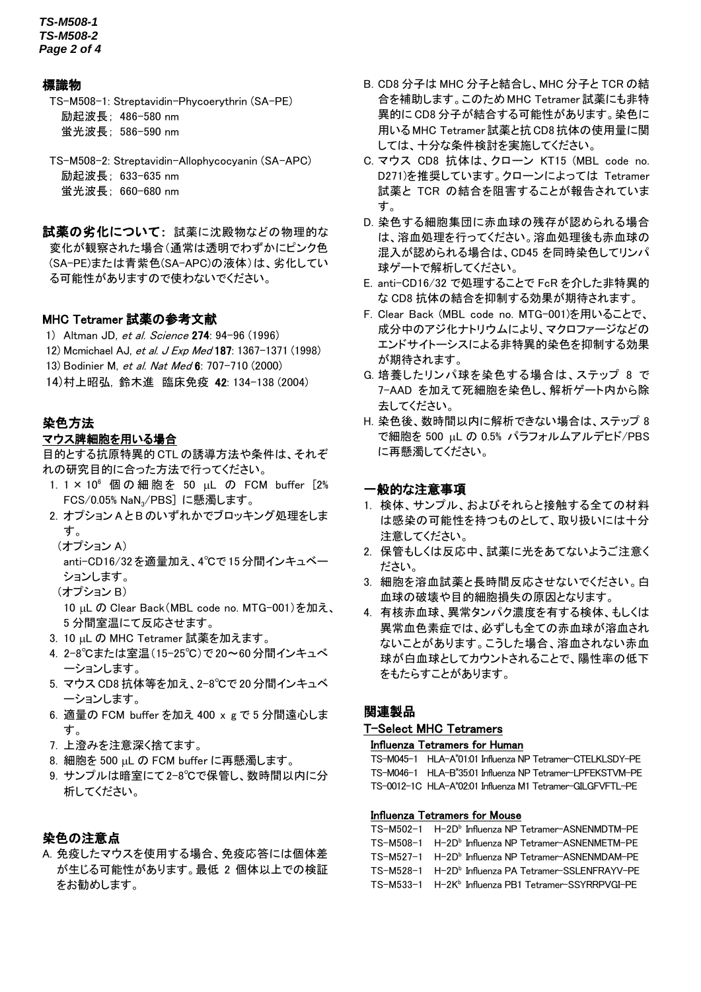*TS-M508-1 TS-M508-2 Page 2 of 4*

## 標識物

TS-M508-1: Streptavidin-Phycoerythrin (SA-PE) 励起波長; 486-580 nm 蛍光波長; 586-590 nm

TS-M508-2: Streptavidin-Allophycocyanin (SA-APC) 励起波長; 633-635 nm 蛍光波長; 660-680 nm

試薬の劣化について: 試薬に沈殿物などの物理的な 変化が観察された場合(通常は透明でわずかにピンク色 (SA-PE)または青紫色(SA-APC)の液体)は、劣化してい る可能性がありますので使わないでください。

## MHC Tetramer 試薬の参考文献

- 1) Altman JD, et al. Science 274: 94-96 (1996)
- 12) Mcmichael AJ, et al. J Exp Med 187: 1367-1371 (1998)
- 13) Bodinier M, et al. Nat Med 6: 707-710 (2000)
- 14)村上昭弘, 鈴木進 臨床免疫 42: 134-138 (2004)

#### 染色方法

### マウス脾細胞を用いる場合

目的とする抗原特異的 CTL の誘導方法や条件は、それぞ れの研究目的に合った方法で行ってください。

- 1. 1 × 10<sup>6</sup> 個の細胞を 50 uL の FCM buffer [2% FCS/0.05% NaN3/PBS] に懸濁します。
- 2. オプション A とB のいずれかでブロッキング処理をしま す。
	- (オプション A)

anti-CD16/32 を適量加え、4℃で 15分間インキュベー ションします。

(オプション B)

10 µL の Clear Back (MBL code no. MTG-001)を加え、 5 分間室温にて反応させます。

- 3. 10 uL の MHC Tetramer 試薬を加えます。
- 4. 2-8℃または室温(15-25℃)で 20~60分間インキュべ ーションします。
- 5. マウス CD8 抗体等を加え、2-8℃で 20 分間インキュベ ーションします。
- 6. 適量の FCM buffer を加え 400 x g で 5 分間遠心しま す。
- 7. 上澄みを注意深く捨てます。
- 8. 細胞を 500 uL の FCM buffer に再懸濁します。
- 9. サンプルは暗室にて2-8℃で保管し、数時間以内に分 析してください。

#### 染色の注意点

A. 免疫したマウスを使用する場合、免疫応答には個体差 が生じる可能性があります。最低 2 個体以上での検証 をお勧めします。

- B. CD8 分子は MHC 分子と結合し、MHC 分子と TCR の結 合を補助します。このためMHC Tetramer 試薬にも非特 異的に CD8 分子が結合する可能性があります。染色に 用いる MHC Tetramer試薬と抗CD8抗体の使用量に関 しては、十分な条件検討を実施してください。
- C. マウス CD8 抗体は、クローン KT15 (MBL code no. D271)を推奨しています。クローンによっては Tetramer 試薬と TCR の結合を阻害することが報告されていま す。
- D. 染色する細胞集団に赤血球の残存が認められる場合 は、溶血処理を行ってください。溶血処理後も赤血球の 混入が認められる場合は、CD45 を同時染色してリンパ 球ゲートで解析してください。
- E. anti-CD16/32 で処理することで FcR を介した非特異的 な CD8 抗体の結合を抑制する効果が期待されます。
- F. Clear Back (MBL code no. MTG-001)を用いることで、 成分中のアジ化ナトリウムにより、マクロファージなどの エンドサイトーシスによる非特異的染色を抑制する効果 が期待されます。
- G. 培養したリンパ球を染色する場合は、ステップ 8 で 7-AAD を加えて死細胞を染色し、解析ゲート内から除 去してください。
- H. 染色後、数時間以内に解析できない場合は、ステップ 8 で細胞を 500 uL の 0.5% パラフォルムアルデヒド/PBS に再懸濁してください。

## 一般的な注意事項

- 1. 検体、サンプル、およびそれらと接触する全ての材料 は感染の可能性を持つものとして、取り扱いには十分 注意してください。
- 2. 保管もしくは反応中、試薬に光をあてないようご注意く ださい。
- 3. 細胞を溶血試薬と長時間反応させないでください。白 血球の破壊や目的細胞損失の原因となります。
- 4. 有核赤血球、異常タンパク濃度を有する検体、もしくは 異常血色素症では、必ずしも全ての赤血球が溶血され ないことがあります。こうした場合、溶血されない赤血 球が白血球としてカウントされることで、陽性率の低下 をもたらすことがあります。

## 関連製品

## T-Select MHC Tetramers

#### Influenza Tetramers for Human

TS-M045-1 HLA-A\*01:01 Influenza NP Tetramer-CTELKLSDY-PE TS-M046-1 HLA-B\*35.01 Influenza NP Tetramer-LPFEKSTVM-PE TS-0012-1C HLA-A\*02:01 Influenza M1 Tetramer-GILGFVFTL-PE

#### Influenza Tetramers for Mouse

TS-M502-1 H-2D<sup>b</sup> Influenza NP Tetramer-ASNENMDTM-PE TS-M508-1 H-2D<sup>b</sup> Influenza NP Tetramer-ASNENMETM-PE TS-M527-1 H-2D<sup>b</sup> Influenza NP Tetramer-ASNENMDAM-PE TS-M528-1 H-2D<sup>b</sup> Influenza PA Tetramer-SSLENFRAYV-PE TS-M533-1 H-2K<sup>b</sup> Influenza PB1 Tetramer-SSYRRPVGI-PE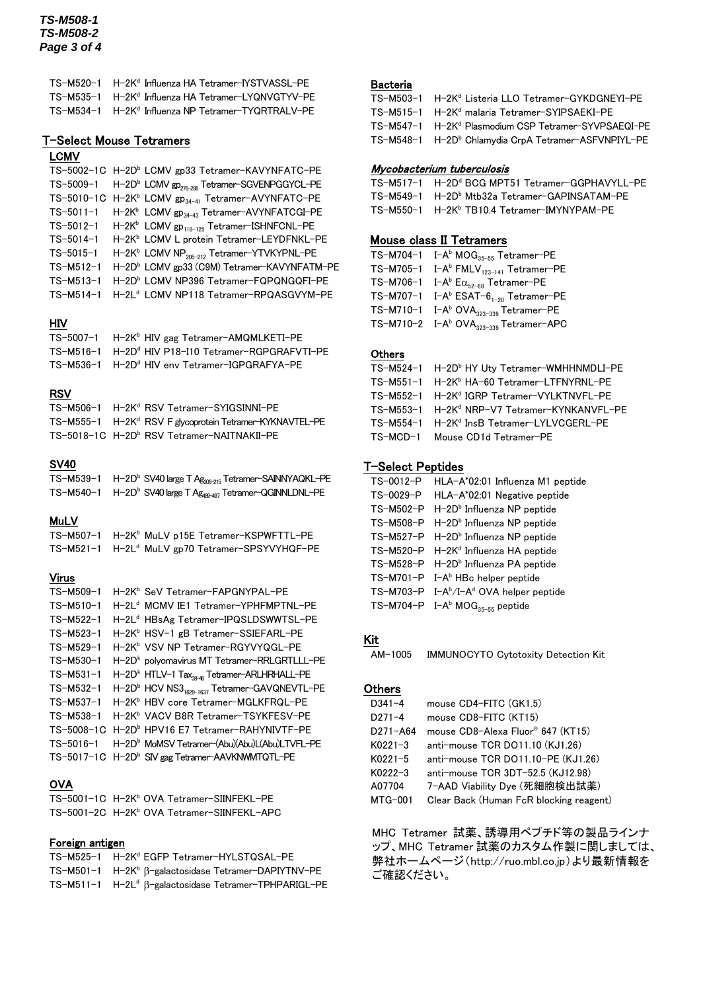## *TS-M508-1 TS-M508-2 Page 3 of 4*

| TS-M520-1 H-2K <sup>d</sup> Influenza HA Tetramer-IYSTVASSL-PE |
|----------------------------------------------------------------|
| TS-M535-1 H-2K <sup>d</sup> Influenza HA Tetramer-LYQNVGTYV-PE |
| TS-M534-1 H-2K <sup>d</sup> Influenza NP Tetramer-TYQRTRALV-PE |

## T-Select Mouse Tetramers

## LCMV

|                 | TS-5002-1C H-2D <sup>b</sup> LCMV gp33 Tetramer-KAVYNFATC-PE                   |
|-----------------|--------------------------------------------------------------------------------|
|                 | TS-5009-1 H-2D <sup>b</sup> LCMV gp <sub>276-286</sub> Tetramer-SGVENPGGYCL-PE |
|                 | TS-5010-1C H-2K <sup>b</sup> LCMV gp <sub>34-41</sub> Tetramer-AVYNFATC-PE     |
| $TS-5011-1$     | H-2K <sup>b</sup> LCMV gp <sub>34-43</sub> Tetramer-AVYNFATCGI-PE              |
| TS-5012-1       | H-2K <sup>b</sup> LCMV gp <sub>118-125</sub> Tetramer-ISHNFCNL-PE              |
| TS-5014-1       | H-2K <sup>b</sup> LCMV L protein Tetramer-LEYDFNKL-PE                          |
| $TS - 5015 - 1$ | H-2K <sup>b</sup> LCMV NP <sub>205-212</sub> Tetramer-YTVKYPNL-PE              |
| $TS-M512-1$     | H-2D <sup>b</sup> LCMV gp33 (C9M) Tetramer-KAVYNFATM-PE                        |
| TS-M513-1       | H-2D <sup>b</sup> LCMV NP396 Tetramer-FQPQNGQFI-PE                             |
| $TS-M514-1$     | H-2L <sup>d</sup> LCMV NP118 Tetramer-RPQASGVYM-PE                             |

## HIV

| TS-5007-1 H-2K <sup>b</sup> HIV gag Tetramer-AMQMLKETI-PE      |
|----------------------------------------------------------------|
| TS-M516-1 H-2D <sup>d</sup> HIV P18-I10 Tetramer-RGPGRAFVTI-PE |
| TS-M536-1 H-2D <sup>d</sup> HIV env Tetramer-IGPGRAFYA-PE      |

## RSV

| TS-M506-1 H-2K <sup>d</sup> RSV Tetramer-SYIGSINNI-PE                |
|----------------------------------------------------------------------|
| TS-M555-1 H-2K <sup>d</sup> RSV F glycoprotein Tetramer-KYKNAVTEL-PE |
| TS-5018-1C H-2D <sup>b</sup> RSV Tetramer-NAITNAKII-PE               |

## SV40

| TS-M539-1 H-2D <sup>b</sup> SV40 large T Ag <sub>206-215</sub> Tetramer-SAINNYAQKL-PE |
|---------------------------------------------------------------------------------------|
| TS-M540-1 H-2D <sup>b</sup> SV40 large T Ag <sub>481-497</sub> Tetramer-QGINNLDNL-PE  |

#### **MuLV**

| TS-M507-1 H-2K <sup>b</sup> MuLV p15E Tetramer-KSPWFTTL-PE |
|------------------------------------------------------------|
| TS-M521-1 H-2Ld MuLV gp70 Tetramer-SPSYVYHQF-PE            |

#### Virus

| TS-M509-1       | H-2K <sup>b</sup> SeV Tetramer-FAPGNYPAL-PE                          |
|-----------------|----------------------------------------------------------------------|
| TS-M510-1       | H-2L <sup>d</sup> MCMV IE1 Tetramer-YPHFMPTNL-PE                     |
| TS-M522-1       | H-2L <sup>d</sup> HBsAg Tetramer-IPQSLDSWWTSL-PE                     |
| TS-M523-1       | H-2K <sup>b</sup> HSV-1 gB Tetramer-SSIEFARL-PE                      |
| TS-M529-1       | H-2K <sup>b</sup> VSV NP Tetramer-RGYVYQGL-PE                        |
| TS-M530-1       | H-2D <sup>k</sup> polyomavirus MT Tetramer-RRLGRTLLL-PE              |
| $TS-M531-1$     | H-2D <sup>k</sup> HTLV-1 Tax <sub>38-46</sub> Tetramer-ARLHRHALL-PE  |
| TS-M532-1       | H-2D <sup>b</sup> HCV NS3 <sub>1629-1637</sub> Tetramer-GAVQNEVTL-PE |
| TS-M537-1       | H-2K <sup>b</sup> HBV core Tetramer-MGLKFRQL-PE                      |
| TS-M538-1       | H-2K <sup>b</sup> VACV B8R Tetramer-TSYKFESV-PE                      |
|                 | TS-5008-1C H-2D <sup>b</sup> HPV16 E7 Tetramer-RAHYNIVTF-PE          |
| $TS - 5016 - 1$ | H-2D <sup>b</sup> MoMSV Tetramer-(Abu)(Abu)L(Abu)LTVFL-PE            |
|                 | TS-5017-1C H-2D <sup>b</sup> SIV gag Tetramer-AAVKNWMTQTL-PE         |
|                 |                                                                      |

## **OVA**

TS-5001-1C H-2K<sup>b</sup> OVA Tetramer-SIINFEKL-PE TS-5001-2C H-2K<sup>b</sup> OVA Tetramer-SIINFEKL-APC

## Foreign antigen

| TS-M525-1 H-2Kd EGFP Tetramer-HYLSTQSAL-PE                        |
|-------------------------------------------------------------------|
| TS-M501-1 H-2K <sup>b</sup> β-galactosidase Tetramer-DAPIYTNV-PE  |
| TS-M511-1 H-2L <sup>d</sup> ß-galactosidase Tetramer-TPHPARIGL-PE |

## Bacteria

| TS-M503-1 H-2K <sup>d</sup> Listeria LLO Tetramer-GYKDGNEYI-PE   |
|------------------------------------------------------------------|
| TS-M515-1 H-2K <sup>d</sup> malaria Tetramer-SYIPSAEKI-PE        |
| TS-M547-1 H-2K <sup>d</sup> Plasmodium CSP Tetramer-SYVPSAEQI-PE |
| TS-M548-1 H-2D <sup>b</sup> Chlamydia CrpA Tetramer-ASFVNPIYL-PE |

#### Mycobacterium tuberculosis

| TS-M517-1 H-2D <sup>d</sup> BCG MPT51 Tetramer-GGPHAVYLL-PE |
|-------------------------------------------------------------|
| TS-M549-1 H-2Db Mtb32a Tetramer-GAPINSATAM-PE               |
| TS-M550-1 H-2Kb TB10.4 Tetramer-IMYNYPAM-PE                 |

## Mouse class II Tetramers

| $TS-M704-1$ $I-A^b MOG_{35-55}$ Tetramer-PE                    |
|----------------------------------------------------------------|
| TS-M705-1 I-A <sup>b</sup> FMLV <sub>123-141</sub> Tetramer-PE |
| TS-M706-1 I-A <sup>b</sup> $E\alpha_{52-68}$ Tetramer-PE       |
| TS-M707-1 I-A <sup>b</sup> ESAT- $6_{1-20}$ Tetramer-PE        |
| TS-M710-1 $I-A^b$ OVA $_{323-339}$ Tetramer-PE                 |
| TS-M710-2 I-A <sup>b</sup> OVA <sub>323-339</sub> Tetramer-APC |

### **Others**

| TS-M524-1 H-2D <sup>b</sup> HY Uty Tetramer-WMHHNMDLI-PE |
|----------------------------------------------------------|
| TS-M551-1 H-2K <sup>b</sup> HA-60 Tetramer-LTFNYRNL-PE   |
| TS-M552-1 H-2Kd IGRP Tetramer-VYLKTNVFL-PE               |
| TS-M553-1 H-2K <sup>d</sup> NRP-V7 Tetramer-KYNKANVFL-PE |
| TS-M554-1 H-2K <sup>d</sup> InsB Tetramer-LYLVCGERL-PE   |
| TS-MCD-1 Mouse CD1d Tetramer-PE                          |
|                                                          |

## T-Select Peptides

| TS-0012-P | HLA-A*02:01 Influenza M1 peptide               |
|-----------|------------------------------------------------|
| TS-0029-P | HLA-A*02:01 Negative peptide                   |
| TS-M502-P | H-2D <sup>b</sup> Influenza NP peptide         |
| TS-M508-P | $H - 2Db$ Influenza NP peptide                 |
| TS-M527-P | H-2D <sup>b</sup> Influenza NP peptide         |
| TS-M520-P | H-2K <sup>d</sup> Influenza HA peptide         |
| TS-M528-P | H-2D <sup>b</sup> Influenza PA peptide         |
| TS-M701-P | I-A <sup>b</sup> HBc helper peptide            |
|           | TS-M703-P $I-A^b/I-A^d$ OVA helper peptide     |
|           | TS-M704-P $I-A^b$ MOG <sub>35-55</sub> peptide |

## Kit

AM-1005 IMMUNOCYTO Cytotoxity Detection Kit

## **Others**

| $D341 - 4$     | mouse CD4-FITC (GK1.5)                        |
|----------------|-----------------------------------------------|
| $D271 - 4$     | mouse CD8-FITC (KT15)                         |
| D271-A64       | mouse CD8-Alexa Fluor <sup>®</sup> 647 (KT15) |
| $K0221 - 3$    | anti-mouse TCR DO11.10 (KJ1.26)               |
| $K0221 - 5$    | anti-mouse TCR DO11.10-PE (KJ1.26)            |
| $K0222 - 3$    | anti-mouse TCR 3DT-52.5 (KJ12.98)             |
| A07704         | 7-AAD Viability Dye (死細胞検出試薬)                 |
| <b>MTG-001</b> | Clear Back (Human FcR blocking reagent)       |

MHC Tetramer 試薬、誘導用ペプチド等の製品ラインナ ップ、MHC Tetramer 試薬のカスタム作製に関しましては、 弊社ホームページ(http://ruo.mbl.co.jp)より最新情報を ご確認ください。